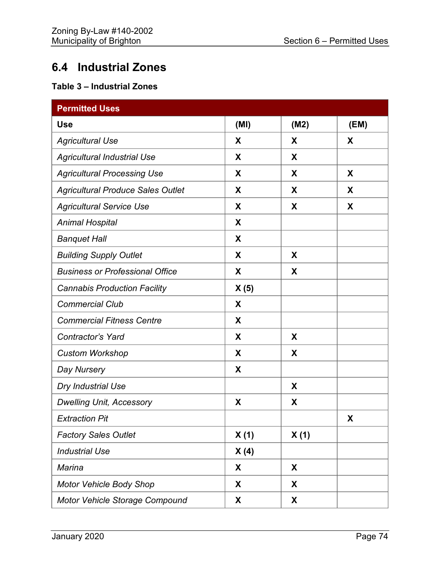## **6.4 Industrial Zones**

## **Table 3 – Industrial Zones**

| <b>Permitted Uses</b>                    |      |      |      |  |
|------------------------------------------|------|------|------|--|
| <b>Use</b>                               | (MI) | (M2) | (EM) |  |
| <b>Agricultural Use</b>                  | X    | X    | X    |  |
| Agricultural Industrial Use              | X    | X    |      |  |
| <b>Agricultural Processing Use</b>       | X    | X    | X    |  |
| <b>Agricultural Produce Sales Outlet</b> | X    | X    | X    |  |
| <b>Agricultural Service Use</b>          | X    | X    | X    |  |
| <b>Animal Hospital</b>                   | X    |      |      |  |
| <b>Banquet Hall</b>                      | X    |      |      |  |
| <b>Building Supply Outlet</b>            | X    | X    |      |  |
| <b>Business or Professional Office</b>   | X    | X    |      |  |
| <b>Cannabis Production Facility</b>      | X(5) |      |      |  |
| <b>Commercial Club</b>                   | X    |      |      |  |
| <b>Commercial Fitness Centre</b>         | X    |      |      |  |
| Contractor's Yard                        | X    | X    |      |  |
| <b>Custom Workshop</b>                   | X    | X    |      |  |
| Day Nursery                              | X    |      |      |  |
| Dry Industrial Use                       |      | X    |      |  |
| <b>Dwelling Unit, Accessory</b>          | X    | X    |      |  |
| <b>Extraction Pit</b>                    |      |      | X    |  |
| <b>Factory Sales Outlet</b>              | X(1) | X(1) |      |  |
| <b>Industrial Use</b>                    | X(4) |      |      |  |
| <b>Marina</b>                            | X    | X    |      |  |
| <b>Motor Vehicle Body Shop</b>           | X    | X    |      |  |
| Motor Vehicle Storage Compound           | X    | X    |      |  |